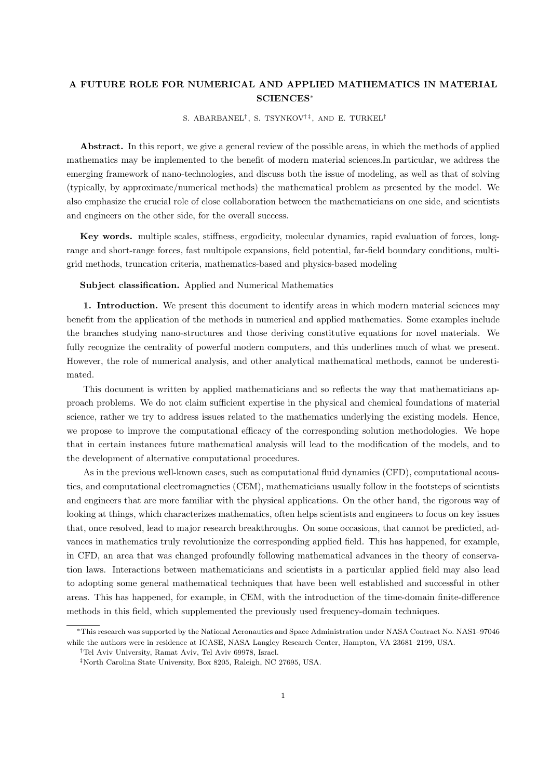## A FUTURE ROLE FOR NUMERICAL AND APPLIED MATHEMATICS IN MATERIAL SCIENCES<sup>∗</sup>

S. ABARBANEL<sup>†</sup>, S. TSYNKOV<sup>†‡</sup>, AND E. TURKEL<sup>†</sup>

Abstract. In this report, we give a general review of the possible areas, in which the methods of applied mathematics may be implemented to the benefit of modern material sciences.In particular, we address the emerging framework of nano-technologies, and discuss both the issue of modeling, as well as that of solving (typically, by approximate/numerical methods) the mathematical problem as presented by the model. We also emphasize the crucial role of close collaboration between the mathematicians on one side, and scientists and engineers on the other side, for the overall success.

Key words. multiple scales, stiffness, ergodicity, molecular dynamics, rapid evaluation of forces, longrange and short-range forces, fast multipole expansions, field potential, far-field boundary conditions, multigrid methods, truncation criteria, mathematics-based and physics-based modeling

## Subject classification. Applied and Numerical Mathematics

1. Introduction. We present this document to identify areas in which modern material sciences may benefit from the application of the methods in numerical and applied mathematics. Some examples include the branches studying nano-structures and those deriving constitutive equations for novel materials. We fully recognize the centrality of powerful modern computers, and this underlines much of what we present. However, the role of numerical analysis, and other analytical mathematical methods, cannot be underestimated.

This document is written by applied mathematicians and so reflects the way that mathematicians approach problems. We do not claim sufficient expertise in the physical and chemical foundations of material science, rather we try to address issues related to the mathematics underlying the existing models. Hence, we propose to improve the computational efficacy of the corresponding solution methodologies. We hope that in certain instances future mathematical analysis will lead to the modification of the models, and to the development of alternative computational procedures.

As in the previous well-known cases, such as computational fluid dynamics (CFD), computational acoustics, and computational electromagnetics (CEM), mathematicians usually follow in the footsteps of scientists and engineers that are more familiar with the physical applications. On the other hand, the rigorous way of looking at things, which characterizes mathematics, often helps scientists and engineers to focus on key issues that, once resolved, lead to major research breakthroughs. On some occasions, that cannot be predicted, advances in mathematics truly revolutionize the corresponding applied field. This has happened, for example, in CFD, an area that was changed profoundly following mathematical advances in the theory of conservation laws. Interactions between mathematicians and scientists in a particular applied field may also lead to adopting some general mathematical techniques that have been well established and successful in other areas. This has happened, for example, in CEM, with the introduction of the time-domain finite-difference methods in this field, which supplemented the previously used frequency-domain techniques.

<sup>∗</sup>This research was supported by the National Aeronautics and Space Administration under NASA Contract No. NAS1–97046 while the authors were in residence at ICASE, NASA Langley Research Center, Hampton, VA 23681–2199, USA.

<sup>†</sup>Tel Aviv University, Ramat Aviv, Tel Aviv 69978, Israel.

<sup>‡</sup>North Carolina State University, Box 8205, Raleigh, NC 27695, USA.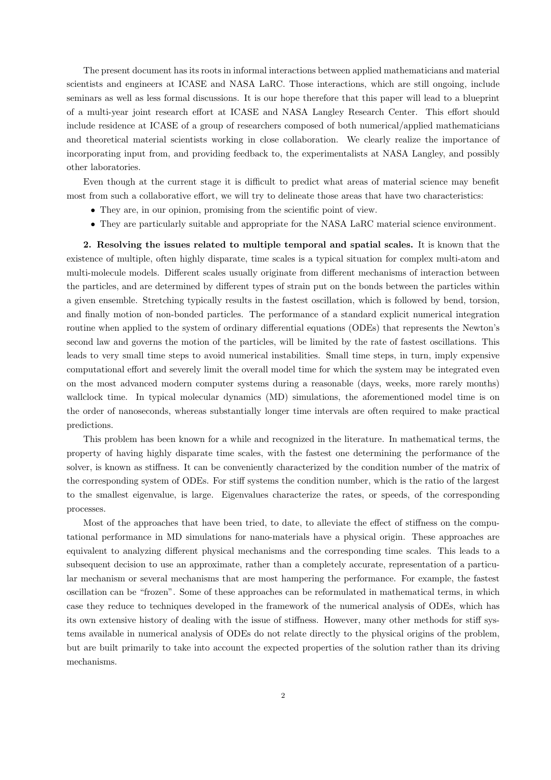The present document has its roots in informal interactions between applied mathematicians and material scientists and engineers at ICASE and NASA LaRC. Those interactions, which are still ongoing, include seminars as well as less formal discussions. It is our hope therefore that this paper will lead to a blueprint of a multi-year joint research effort at ICASE and NASA Langley Research Center. This effort should include residence at ICASE of a group of researchers composed of both numerical/applied mathematicians and theoretical material scientists working in close collaboration. We clearly realize the importance of incorporating input from, and providing feedback to, the experimentalists at NASA Langley, and possibly other laboratories.

Even though at the current stage it is difficult to predict what areas of material science may benefit most from such a collaborative effort, we will try to delineate those areas that have two characteristics:

- They are, in our opinion, promising from the scientific point of view.
- They are particularly suitable and appropriate for the NASA LaRC material science environment.

2. Resolving the issues related to multiple temporal and spatial scales. It is known that the existence of multiple, often highly disparate, time scales is a typical situation for complex multi-atom and multi-molecule models. Different scales usually originate from different mechanisms of interaction between the particles, and are determined by different types of strain put on the bonds between the particles within a given ensemble. Stretching typically results in the fastest oscillation, which is followed by bend, torsion, and finally motion of non-bonded particles. The performance of a standard explicit numerical integration routine when applied to the system of ordinary differential equations (ODEs) that represents the Newton's second law and governs the motion of the particles, will be limited by the rate of fastest oscillations. This leads to very small time steps to avoid numerical instabilities. Small time steps, in turn, imply expensive computational effort and severely limit the overall model time for which the system may be integrated even on the most advanced modern computer systems during a reasonable (days, weeks, more rarely months) wallclock time. In typical molecular dynamics (MD) simulations, the aforementioned model time is on the order of nanoseconds, whereas substantially longer time intervals are often required to make practical predictions.

This problem has been known for a while and recognized in the literature. In mathematical terms, the property of having highly disparate time scales, with the fastest one determining the performance of the solver, is known as stiffness. It can be conveniently characterized by the condition number of the matrix of the corresponding system of ODEs. For stiff systems the condition number, which is the ratio of the largest to the smallest eigenvalue, is large. Eigenvalues characterize the rates, or speeds, of the corresponding processes.

Most of the approaches that have been tried, to date, to alleviate the effect of stiffness on the computational performance in MD simulations for nano-materials have a physical origin. These approaches are equivalent to analyzing different physical mechanisms and the corresponding time scales. This leads to a subsequent decision to use an approximate, rather than a completely accurate, representation of a particular mechanism or several mechanisms that are most hampering the performance. For example, the fastest oscillation can be "frozen". Some of these approaches can be reformulated in mathematical terms, in which case they reduce to techniques developed in the framework of the numerical analysis of ODEs, which has its own extensive history of dealing with the issue of stiffness. However, many other methods for stiff systems available in numerical analysis of ODEs do not relate directly to the physical origins of the problem, but are built primarily to take into account the expected properties of the solution rather than its driving mechanisms.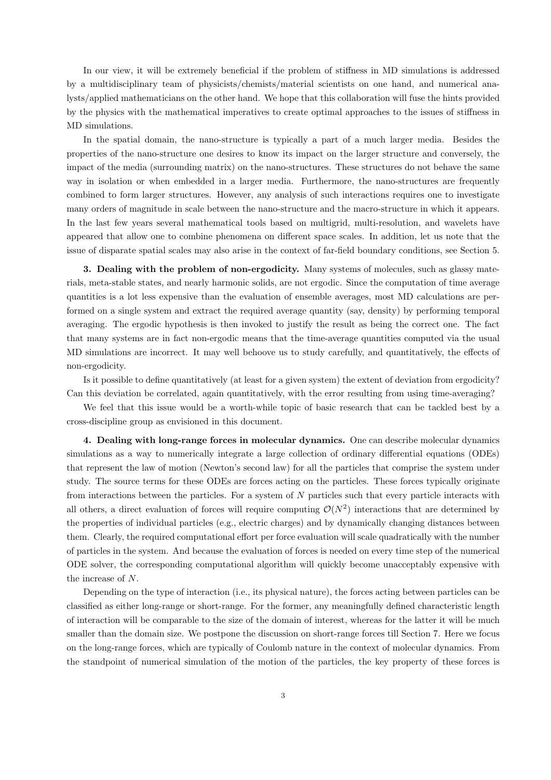In our view, it will be extremely beneficial if the problem of stiffness in MD simulations is addressed by a multidisciplinary team of physicists/chemists/material scientists on one hand, and numerical analysts/applied mathematicians on the other hand. We hope that this collaboration will fuse the hints provided by the physics with the mathematical imperatives to create optimal approaches to the issues of stiffness in MD simulations.

In the spatial domain, the nano-structure is typically a part of a much larger media. Besides the properties of the nano-structure one desires to know its impact on the larger structure and conversely, the impact of the media (surrounding matrix) on the nano-structures. These structures do not behave the same way in isolation or when embedded in a larger media. Furthermore, the nano-structures are frequently combined to form larger structures. However, any analysis of such interactions requires one to investigate many orders of magnitude in scale between the nano-structure and the macro-structure in which it appears. In the last few years several mathematical tools based on multigrid, multi-resolution, and wavelets have appeared that allow one to combine phenomena on different space scales. In addition, let us note that the issue of disparate spatial scales may also arise in the context of far-field boundary conditions, see Section 5.

3. Dealing with the problem of non-ergodicity. Many systems of molecules, such as glassy materials, meta-stable states, and nearly harmonic solids, are not ergodic. Since the computation of time average quantities is a lot less expensive than the evaluation of ensemble averages, most MD calculations are performed on a single system and extract the required average quantity (say, density) by performing temporal averaging. The ergodic hypothesis is then invoked to justify the result as being the correct one. The fact that many systems are in fact non-ergodic means that the time-average quantities computed via the usual MD simulations are incorrect. It may well behoove us to study carefully, and quantitatively, the effects of non-ergodicity.

Is it possible to define quantitatively (at least for a given system) the extent of deviation from ergodicity? Can this deviation be correlated, again quantitatively, with the error resulting from using time-averaging?

We feel that this issue would be a worth-while topic of basic research that can be tackled best by a cross-discipline group as envisioned in this document.

4. Dealing with long-range forces in molecular dynamics. One can describe molecular dynamics simulations as a way to numerically integrate a large collection of ordinary differential equations (ODEs) that represent the law of motion (Newton's second law) for all the particles that comprise the system under study. The source terms for these ODEs are forces acting on the particles. These forces typically originate from interactions between the particles. For a system of  $N$  particles such that every particle interacts with all others, a direct evaluation of forces will require computing  $\mathcal{O}(N^2)$  interactions that are determined by the properties of individual particles (e.g., electric charges) and by dynamically changing distances between them. Clearly, the required computational effort per force evaluation will scale quadratically with the number of particles in the system. And because the evaluation of forces is needed on every time step of the numerical ODE solver, the corresponding computational algorithm will quickly become unacceptably expensive with the increase of N.

Depending on the type of interaction (i.e., its physical nature), the forces acting between particles can be classified as either long-range or short-range. For the former, any meaningfully defined characteristic length of interaction will be comparable to the size of the domain of interest, whereas for the latter it will be much smaller than the domain size. We postpone the discussion on short-range forces till Section 7. Here we focus on the long-range forces, which are typically of Coulomb nature in the context of molecular dynamics. From the standpoint of numerical simulation of the motion of the particles, the key property of these forces is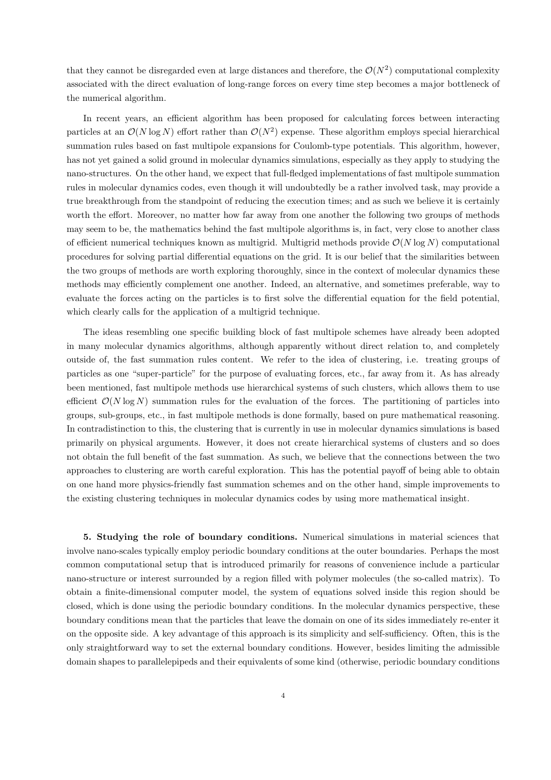that they cannot be disregarded even at large distances and therefore, the  $\mathcal{O}(N^2)$  computational complexity associated with the direct evaluation of long-range forces on every time step becomes a major bottleneck of the numerical algorithm.

In recent years, an efficient algorithm has been proposed for calculating forces between interacting particles at an  $\mathcal{O}(N \log N)$  effort rather than  $\mathcal{O}(N^2)$  expense. These algorithm employs special hierarchical summation rules based on fast multipole expansions for Coulomb-type potentials. This algorithm, however, has not yet gained a solid ground in molecular dynamics simulations, especially as they apply to studying the nano-structures. On the other hand, we expect that full-fledged implementations of fast multipole summation rules in molecular dynamics codes, even though it will undoubtedly be a rather involved task, may provide a true breakthrough from the standpoint of reducing the execution times; and as such we believe it is certainly worth the effort. Moreover, no matter how far away from one another the following two groups of methods may seem to be, the mathematics behind the fast multipole algorithms is, in fact, very close to another class of efficient numerical techniques known as multigrid. Multigrid methods provide  $\mathcal{O}(N \log N)$  computational procedures for solving partial differential equations on the grid. It is our belief that the similarities between the two groups of methods are worth exploring thoroughly, since in the context of molecular dynamics these methods may efficiently complement one another. Indeed, an alternative, and sometimes preferable, way to evaluate the forces acting on the particles is to first solve the differential equation for the field potential, which clearly calls for the application of a multigrid technique.

The ideas resembling one specific building block of fast multipole schemes have already been adopted in many molecular dynamics algorithms, although apparently without direct relation to, and completely outside of, the fast summation rules content. We refer to the idea of clustering, i.e. treating groups of particles as one "super-particle" for the purpose of evaluating forces, etc., far away from it. As has already been mentioned, fast multipole methods use hierarchical systems of such clusters, which allows them to use efficient  $\mathcal{O}(N \log N)$  summation rules for the evaluation of the forces. The partitioning of particles into groups, sub-groups, etc., in fast multipole methods is done formally, based on pure mathematical reasoning. In contradistinction to this, the clustering that is currently in use in molecular dynamics simulations is based primarily on physical arguments. However, it does not create hierarchical systems of clusters and so does not obtain the full benefit of the fast summation. As such, we believe that the connections between the two approaches to clustering are worth careful exploration. This has the potential payoff of being able to obtain on one hand more physics-friendly fast summation schemes and on the other hand, simple improvements to the existing clustering techniques in molecular dynamics codes by using more mathematical insight.

5. Studying the role of boundary conditions. Numerical simulations in material sciences that involve nano-scales typically employ periodic boundary conditions at the outer boundaries. Perhaps the most common computational setup that is introduced primarily for reasons of convenience include a particular nano-structure or interest surrounded by a region filled with polymer molecules (the so-called matrix). To obtain a finite-dimensional computer model, the system of equations solved inside this region should be closed, which is done using the periodic boundary conditions. In the molecular dynamics perspective, these boundary conditions mean that the particles that leave the domain on one of its sides immediately re-enter it on the opposite side. A key advantage of this approach is its simplicity and self-sufficiency. Often, this is the only straightforward way to set the external boundary conditions. However, besides limiting the admissible domain shapes to parallelepipeds and their equivalents of some kind (otherwise, periodic boundary conditions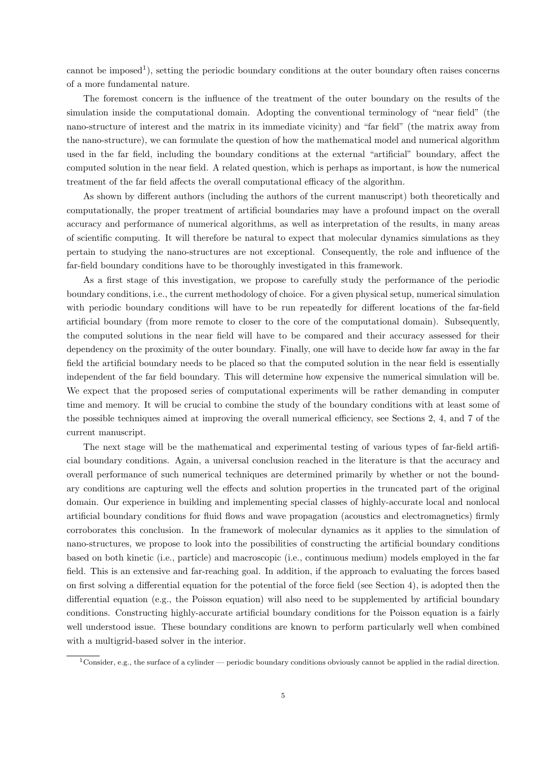cannot be imposed<sup>1</sup>), setting the periodic boundary conditions at the outer boundary often raises concerns of a more fundamental nature.

The foremost concern is the influence of the treatment of the outer boundary on the results of the simulation inside the computational domain. Adopting the conventional terminology of "near field" (the nano-structure of interest and the matrix in its immediate vicinity) and "far field" (the matrix away from the nano-structure), we can formulate the question of how the mathematical model and numerical algorithm used in the far field, including the boundary conditions at the external "artificial" boundary, affect the computed solution in the near field. A related question, which is perhaps as important, is how the numerical treatment of the far field affects the overall computational efficacy of the algorithm.

As shown by different authors (including the authors of the current manuscript) both theoretically and computationally, the proper treatment of artificial boundaries may have a profound impact on the overall accuracy and performance of numerical algorithms, as well as interpretation of the results, in many areas of scientific computing. It will therefore be natural to expect that molecular dynamics simulations as they pertain to studying the nano-structures are not exceptional. Consequently, the role and influence of the far-field boundary conditions have to be thoroughly investigated in this framework.

As a first stage of this investigation, we propose to carefully study the performance of the periodic boundary conditions, i.e., the current methodology of choice. For a given physical setup, numerical simulation with periodic boundary conditions will have to be run repeatedly for different locations of the far-field artificial boundary (from more remote to closer to the core of the computational domain). Subsequently, the computed solutions in the near field will have to be compared and their accuracy assessed for their dependency on the proximity of the outer boundary. Finally, one will have to decide how far away in the far field the artificial boundary needs to be placed so that the computed solution in the near field is essentially independent of the far field boundary. This will determine how expensive the numerical simulation will be. We expect that the proposed series of computational experiments will be rather demanding in computer time and memory. It will be crucial to combine the study of the boundary conditions with at least some of the possible techniques aimed at improving the overall numerical efficiency, see Sections 2, 4, and 7 of the current manuscript.

The next stage will be the mathematical and experimental testing of various types of far-field artificial boundary conditions. Again, a universal conclusion reached in the literature is that the accuracy and overall performance of such numerical techniques are determined primarily by whether or not the boundary conditions are capturing well the effects and solution properties in the truncated part of the original domain. Our experience in building and implementing special classes of highly-accurate local and nonlocal artificial boundary conditions for fluid flows and wave propagation (acoustics and electromagnetics) firmly corroborates this conclusion. In the framework of molecular dynamics as it applies to the simulation of nano-structures, we propose to look into the possibilities of constructing the artificial boundary conditions based on both kinetic (i.e., particle) and macroscopic (i.e., continuous medium) models employed in the far field. This is an extensive and far-reaching goal. In addition, if the approach to evaluating the forces based on first solving a differential equation for the potential of the force field (see Section 4), is adopted then the differential equation (e.g., the Poisson equation) will also need to be supplemented by artificial boundary conditions. Constructing highly-accurate artificial boundary conditions for the Poisson equation is a fairly well understood issue. These boundary conditions are known to perform particularly well when combined with a multigrid-based solver in the interior.

<sup>&</sup>lt;sup>1</sup>Consider, e.g., the surface of a cylinder — periodic boundary conditions obviously cannot be applied in the radial direction.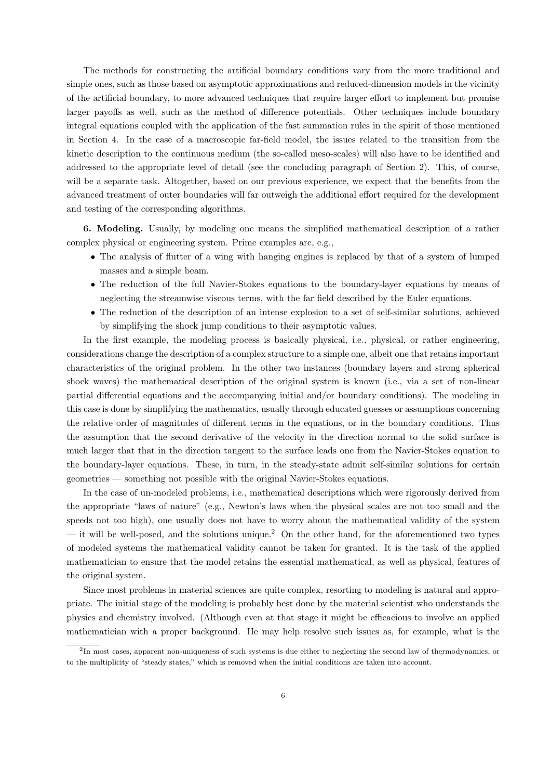The methods for constructing the artificial boundary conditions vary from the more traditional and simple ones, such as those based on asymptotic approximations and reduced-dimension models in the vicinity of the artificial boundary, to more advanced techniques that require larger effort to implement but promise larger payoffs as well, such as the method of difference potentials. Other techniques include boundary integral equations coupled with the application of the fast summation rules in the spirit of those mentioned in Section 4. In the case of a macroscopic far-field model, the issues related to the transition from the kinetic description to the continuous medium (the so-called meso-scales) will also have to be identified and addressed to the appropriate level of detail (see the concluding paragraph of Section 2). This, of course, will be a separate task. Altogether, based on our previous experience, we expect that the benefits from the advanced treatment of outer boundaries will far outweigh the additional effort required for the development and testing of the corresponding algorithms.

6. Modeling. Usually, by modeling one means the simplified mathematical description of a rather complex physical or engineering system. Prime examples are, e.g.,

- The analysis of flutter of a wing with hanging engines is replaced by that of a system of lumped masses and a simple beam.
- The reduction of the full Navier-Stokes equations to the boundary-layer equations by means of neglecting the streamwise viscous terms, with the far field described by the Euler equations.
- The reduction of the description of an intense explosion to a set of self-similar solutions, achieved by simplifying the shock jump conditions to their asymptotic values.

In the first example, the modeling process is basically physical, i.e., physical, or rather engineering, considerations change the description of a complex structure to a simple one, albeit one that retains important characteristics of the original problem. In the other two instances (boundary layers and strong spherical shock waves) the mathematical description of the original system is known (i.e., via a set of non-linear partial differential equations and the accompanying initial and/or boundary conditions). The modeling in this case is done by simplifying the mathematics, usually through educated guesses or assumptions concerning the relative order of magnitudes of different terms in the equations, or in the boundary conditions. Thus the assumption that the second derivative of the velocity in the direction normal to the solid surface is much larger that that in the direction tangent to the surface leads one from the Navier-Stokes equation to the boundary-layer equations. These, in turn, in the steady-state admit self-similar solutions for certain geometries — something not possible with the original Navier-Stokes equations.

In the case of un-modeled problems, i.e., mathematical descriptions which were rigorously derived from the appropriate "laws of nature" (e.g., Newton's laws when the physical scales are not too small and the speeds not too high), one usually does not have to worry about the mathematical validity of the system — it will be well-posed, and the solutions unique.<sup>2</sup> On the other hand, for the aforementioned two types of modeled systems the mathematical validity cannot be taken for granted. It is the task of the applied mathematician to ensure that the model retains the essential mathematical, as well as physical, features of the original system.

Since most problems in material sciences are quite complex, resorting to modeling is natural and appropriate. The initial stage of the modeling is probably best done by the material scientist who understands the physics and chemistry involved. (Although even at that stage it might be efficacious to involve an applied mathematician with a proper background. He may help resolve such issues as, for example, what is the

<sup>&</sup>lt;sup>2</sup>In most cases, apparent non-uniqueness of such systems is due either to neglecting the second law of thermodynamics, or to the multiplicity of "steady states," which is removed when the initial conditions are taken into account.